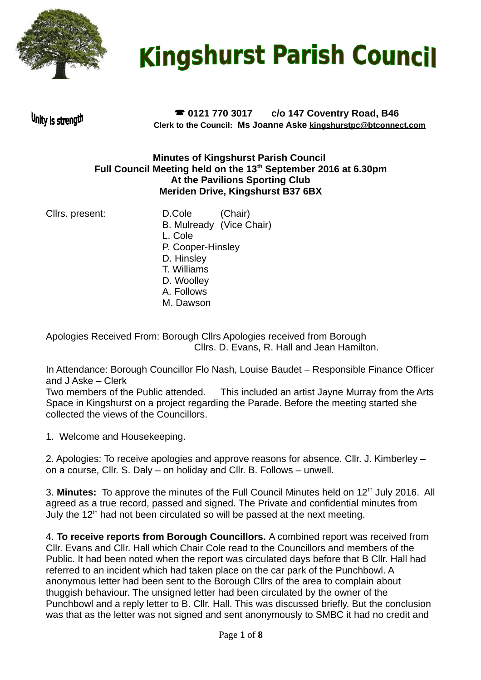

# **Kingshurst Parish Council**

Unity is strength

 **0121 770 3017 c/o 147 Coventry Road, B46 Clerk to the Council: Ms Joanne Aske [kingshurstpc@btconnect.com](mailto:kingshurstpc@btconnect.com)**

#### **Minutes of Kingshurst Parish Council Full Council Meeting held on the 13th September 2016 at 6.30pm At the Pavilions Sporting Club Meriden Drive, Kingshurst B37 6BX**

Cllrs. present: D.Cole (Chair) B. Mulready (Vice Chair) L. Cole P. Cooper-Hinsley D. Hinsley T. Williams D. Woolley A. Follows M. Dawson

Apologies Received From: Borough Cllrs Apologies received from Borough Cllrs. D. Evans, R. Hall and Jean Hamilton.

In Attendance: Borough Councillor Flo Nash, Louise Baudet – Responsible Finance Officer and J Aske – Clerk

Two members of the Public attended. This included an artist Jayne Murray from the Arts Space in Kingshurst on a project regarding the Parade. Before the meeting started she collected the views of the Councillors.

1. Welcome and Housekeeping.

2. Apologies: To receive apologies and approve reasons for absence. Cllr. J. Kimberley – on a course, Cllr. S. Daly – on holiday and Cllr. B. Follows – unwell.

3. Minutes: To approve the minutes of the Full Council Minutes held on 12<sup>th</sup> July 2016. All agreed as a true record, passed and signed. The Private and confidential minutes from July the  $12<sup>th</sup>$  had not been circulated so will be passed at the next meeting.

4. **To receive reports from Borough Councillors.** A combined report was received from Cllr. Evans and Cllr. Hall which Chair Cole read to the Councillors and members of the Public. It had been noted when the report was circulated days before that B Cllr. Hall had referred to an incident which had taken place on the car park of the Punchbowl. A anonymous letter had been sent to the Borough Cllrs of the area to complain about thuggish behaviour. The unsigned letter had been circulated by the owner of the Punchbowl and a reply letter to B. Cllr. Hall. This was discussed briefly. But the conclusion was that as the letter was not signed and sent anonymously to SMBC it had no credit and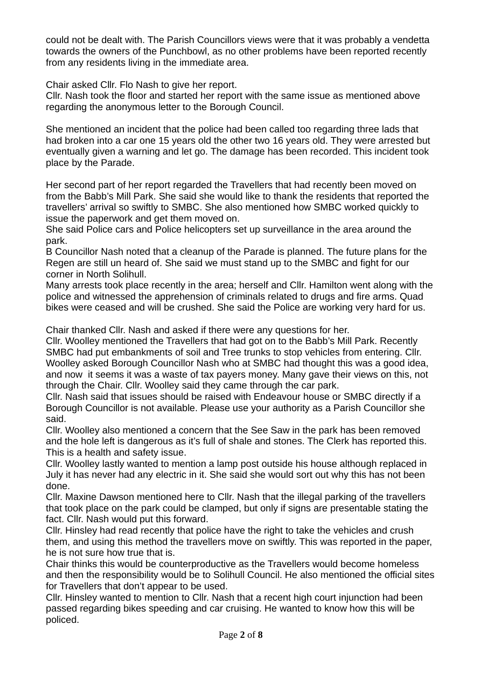could not be dealt with. The Parish Councillors views were that it was probably a vendetta towards the owners of the Punchbowl, as no other problems have been reported recently from any residents living in the immediate area.

Chair asked Cllr. Flo Nash to give her report.

Cllr. Nash took the floor and started her report with the same issue as mentioned above regarding the anonymous letter to the Borough Council.

She mentioned an incident that the police had been called too regarding three lads that had broken into a car one 15 years old the other two 16 years old. They were arrested but eventually given a warning and let go. The damage has been recorded. This incident took place by the Parade.

Her second part of her report regarded the Travellers that had recently been moved on from the Babb's Mill Park. She said she would like to thank the residents that reported the travellers' arrival so swiftly to SMBC. She also mentioned how SMBC worked quickly to issue the paperwork and get them moved on.

She said Police cars and Police helicopters set up surveillance in the area around the park.

B Councillor Nash noted that a cleanup of the Parade is planned. The future plans for the Regen are still un heard of. She said we must stand up to the SMBC and fight for our corner in North Solihull.

Many arrests took place recently in the area; herself and Cllr. Hamilton went along with the police and witnessed the apprehension of criminals related to drugs and fire arms. Quad bikes were ceased and will be crushed. She said the Police are working very hard for us.

Chair thanked Cllr. Nash and asked if there were any questions for her.

Cllr. Woolley mentioned the Travellers that had got on to the Babb's Mill Park. Recently SMBC had put embankments of soil and Tree trunks to stop vehicles from entering. Cllr. Woolley asked Borough Councillor Nash who at SMBC had thought this was a good idea, and now it seems it was a waste of tax payers money. Many gave their views on this, not through the Chair. Cllr. Woolley said they came through the car park.

Cllr. Nash said that issues should be raised with Endeavour house or SMBC directly if a Borough Councillor is not available. Please use your authority as a Parish Councillor she said.

Cllr. Woolley also mentioned a concern that the See Saw in the park has been removed and the hole left is dangerous as it's full of shale and stones. The Clerk has reported this. This is a health and safety issue.

Cllr. Woolley lastly wanted to mention a lamp post outside his house although replaced in July it has never had any electric in it. She said she would sort out why this has not been done.

Cllr. Maxine Dawson mentioned here to Cllr. Nash that the illegal parking of the travellers that took place on the park could be clamped, but only if signs are presentable stating the fact. Cllr. Nash would put this forward.

Cllr. Hinsley had read recently that police have the right to take the vehicles and crush them, and using this method the travellers move on swiftly. This was reported in the paper, he is not sure how true that is.

Chair thinks this would be counterproductive as the Travellers would become homeless and then the responsibility would be to Solihull Council. He also mentioned the official sites for Travellers that don't appear to be used.

Cllr. Hinsley wanted to mention to Cllr. Nash that a recent high court injunction had been passed regarding bikes speeding and car cruising. He wanted to know how this will be policed.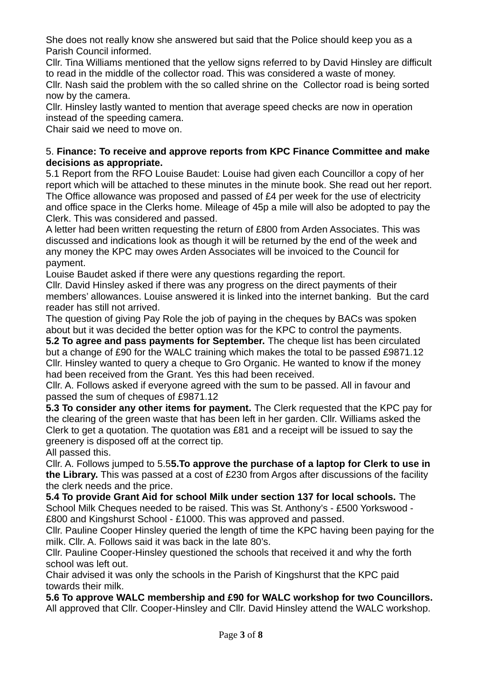She does not really know she answered but said that the Police should keep you as a Parish Council informed.

Cllr. Tina Williams mentioned that the yellow signs referred to by David Hinsley are difficult to read in the middle of the collector road. This was considered a waste of money.

Cllr. Nash said the problem with the so called shrine on the Collector road is being sorted now by the camera.

Cllr. Hinsley lastly wanted to mention that average speed checks are now in operation instead of the speeding camera.

Chair said we need to move on.

#### 5. **Finance: To receive and approve reports from KPC Finance Committee and make decisions as appropriate.**

5.1 Report from the RFO Louise Baudet: Louise had given each Councillor a copy of her report which will be attached to these minutes in the minute book. She read out her report. The Office allowance was proposed and passed of £4 per week for the use of electricity and office space in the Clerks home. Mileage of 45p a mile will also be adopted to pay the Clerk. This was considered and passed.

A letter had been written requesting the return of £800 from Arden Associates. This was discussed and indications look as though it will be returned by the end of the week and any money the KPC may owes Arden Associates will be invoiced to the Council for payment.

Louise Baudet asked if there were any questions regarding the report.

Cllr. David Hinsley asked if there was any progress on the direct payments of their members' allowances. Louise answered it is linked into the internet banking. But the card reader has still not arrived.

The question of giving Pay Role the job of paying in the cheques by BACs was spoken about but it was decided the better option was for the KPC to control the payments.

**5.2 To agree and pass payments for September.** The cheque list has been circulated but a change of £90 for the WALC training which makes the total to be passed £9871.12 Cllr. Hinsley wanted to query a cheque to Gro Organic. He wanted to know if the money had been received from the Grant. Yes this had been received.

Cllr. A. Follows asked if everyone agreed with the sum to be passed. All in favour and passed the sum of cheques of £9871.12

**5.3 To consider any other items for payment.** The Clerk requested that the KPC pay for the clearing of the green waste that has been left in her garden. Cllr. Williams asked the Clerk to get a quotation. The quotation was £81 and a receipt will be issued to say the greenery is disposed off at the correct tip.

All passed this.

Cllr. A. Follows jumped to 5.5**5.To approve the purchase of a laptop for Clerk to use in the Library.** This was passed at a cost of £230 from Argos after discussions of the facility the clerk needs and the price.

**5.4 To provide Grant Aid for school Milk under section 137 for local schools.** The School Milk Cheques needed to be raised. This was St. Anthony's - £500 Yorkswood - £800 and Kingshurst School - £1000. This was approved and passed.

Cllr. Pauline Cooper Hinsley queried the length of time the KPC having been paying for the milk. Cllr. A. Follows said it was back in the late 80's.

Cllr. Pauline Cooper-Hinsley questioned the schools that received it and why the forth school was left out.

Chair advised it was only the schools in the Parish of Kingshurst that the KPC paid towards their milk.

**5.6 To approve WALC membership and £90 for WALC workshop for two Councillors.** All approved that Cllr. Cooper-Hinsley and Cllr. David Hinsley attend the WALC workshop.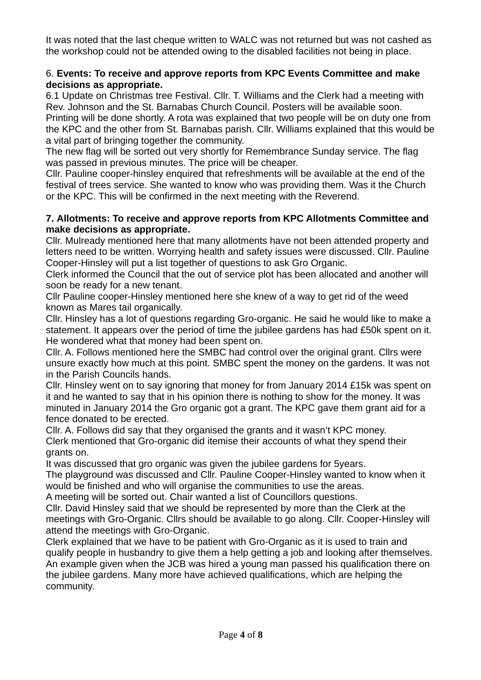It was noted that the last cheque written to WALC was not returned but was not cashed as the workshop could not be attended owing to the disabled facilities not being in place.

#### 6. **Events: To receive and approve reports from KPC Events Committee and make decisions as appropriate.**

6.1 Update on Christmas tree Festival. Cllr. T. Williams and the Clerk had a meeting with Rev. Johnson and the St. Barnabas Church Council. Posters will be available soon.

Printing will be done shortly. A rota was explained that two people will be on duty one from the KPC and the other from St. Barnabas parish. Cllr. Williams explained that this would be a vital part of bringing together the community.

The new flag will be sorted out very shortly for Remembrance Sunday service. The flag was passed in previous minutes. The price will be cheaper.

Cllr. Pauline cooper-hinsley enquired that refreshments will be available at the end of the festival of trees service. She wanted to know who was providing them. Was it the Church or the KPC. This will be confirmed in the next meeting with the Reverend.

#### **7. Allotments: To receive and approve reports from KPC Allotments Committee and make decisions as appropriate.**

Cllr. Mulready mentioned here that many allotments have not been attended property and letters need to be written. Worrying health and safety issues were discussed. Cllr. Pauline Cooper-Hinsley will put a list together of questions to ask Gro Organic.

Clerk informed the Council that the out of service plot has been allocated and another will soon be ready for a new tenant.

Cllr Pauline cooper-Hinsley mentioned here she knew of a way to get rid of the weed known as Mares tail organically.

Cllr. Hinsley has a lot of questions regarding Gro-organic. He said he would like to make a statement. It appears over the period of time the jubilee gardens has had £50k spent on it. He wondered what that money had been spent on.

Cllr. A. Follows mentioned here the SMBC had control over the original grant. Cllrs were unsure exactly how much at this point. SMBC spent the money on the gardens. It was not in the Parish Councils hands.

Cllr. Hinsley went on to say ignoring that money for from January 2014 £15k was spent on it and he wanted to say that in his opinion there is nothing to show for the money. It was minuted in January 2014 the Gro organic got a grant. The KPC gave them grant aid for a fence donated to be erected.

Cllr. A. Follows did say that they organised the grants and it wasn't KPC money. Clerk mentioned that Gro-organic did itemise their accounts of what they spend their grants on.

It was discussed that gro organic was given the jubilee gardens for 5years.

The playground was discussed and Cllr. Pauline Cooper-Hinsley wanted to know when it would be finished and who will organise the communities to use the areas.

A meeting will be sorted out. Chair wanted a list of Councillors questions.

Cllr. David Hinsley said that we should be represented by more than the Clerk at the meetings with Gro-Organic. Cllrs should be available to go along. Cllr. Cooper-Hinsley will attend the meetings with Gro-Organic.

Clerk explained that we have to be patient with Gro-Organic as it is used to train and qualify people in husbandry to give them a help getting a job and looking after themselves. An example given when the JCB was hired a young man passed his qualification there on the jubilee gardens. Many more have achieved qualifications, which are helping the community.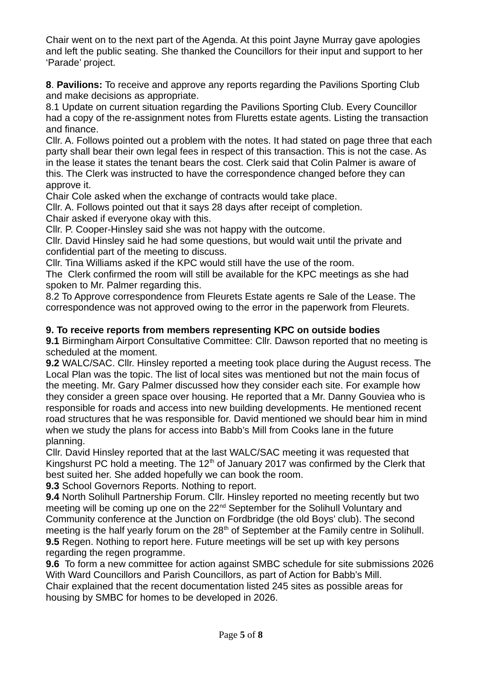Chair went on to the next part of the Agenda. At this point Jayne Murray gave apologies and left the public seating. She thanked the Councillors for their input and support to her 'Parade' project.

**8**. **Pavilions:** To receive and approve any reports regarding the Pavilions Sporting Club and make decisions as appropriate.

8.1 Update on current situation regarding the Pavilions Sporting Club. Every Councillor had a copy of the re-assignment notes from Fluretts estate agents. Listing the transaction and finance.

Cllr. A. Follows pointed out a problem with the notes. It had stated on page three that each party shall bear their own legal fees in respect of this transaction. This is not the case. As in the lease it states the tenant bears the cost. Clerk said that Colin Palmer is aware of this. The Clerk was instructed to have the correspondence changed before they can approve it.

Chair Cole asked when the exchange of contracts would take place.

Cllr. A. Follows pointed out that it says 28 days after receipt of completion. Chair asked if everyone okay with this.

Cllr. P. Cooper-Hinsley said she was not happy with the outcome.

Cllr. David Hinsley said he had some questions, but would wait until the private and confidential part of the meeting to discuss.

Cllr. Tina Williams asked if the KPC would still have the use of the room.

The Clerk confirmed the room will still be available for the KPC meetings as she had spoken to Mr. Palmer regarding this.

8.2 To Approve correspondence from Fleurets Estate agents re Sale of the Lease. The correspondence was not approved owing to the error in the paperwork from Fleurets.

#### **9. To receive reports from members representing KPC on outside bodies**

**9.1** Birmingham Airport Consultative Committee: Cllr. Dawson reported that no meeting is scheduled at the moment.

**9.2** WALC/SAC. Cllr. Hinsley reported a meeting took place during the August recess. The Local Plan was the topic. The list of local sites was mentioned but not the main focus of the meeting. Mr. Gary Palmer discussed how they consider each site. For example how they consider a green space over housing. He reported that a Mr. Danny Gouviea who is responsible for roads and access into new building developments. He mentioned recent road structures that he was responsible for. David mentioned we should bear him in mind when we study the plans for access into Babb's Mill from Cooks lane in the future planning.

Cllr. David Hinsley reported that at the last WALC/SAC meeting it was requested that Kingshurst PC hold a meeting. The  $12<sup>th</sup>$  of January 2017 was confirmed by the Clerk that best suited her. She added hopefully we can book the room.

**9.3** School Governors Reports. Nothing to report.

**9.4** North Solihull Partnership Forum. Cllr. Hinsley reported no meeting recently but two meeting will be coming up one on the 22<sup>nd</sup> September for the Solihull Voluntary and Community conference at the Junction on Fordbridge (the old Boys' club). The second meeting is the half yearly forum on the  $28<sup>th</sup>$  of September at the Family centre in Solihull. **9.5** Regen. Nothing to report here. Future meetings will be set up with key persons regarding the regen programme.

**9.6** To form a new committee for action against SMBC schedule for site submissions 2026 With Ward Councillors and Parish Councillors, as part of Action for Babb's Mill.

Chair explained that the recent documentation listed 245 sites as possible areas for housing by SMBC for homes to be developed in 2026.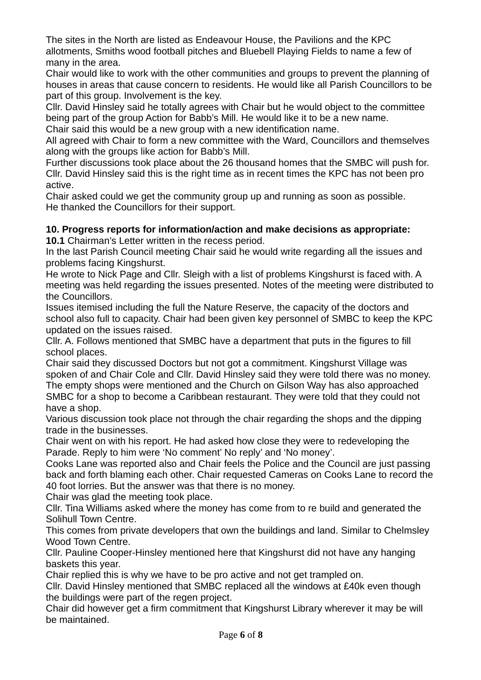The sites in the North are listed as Endeavour House, the Pavilions and the KPC allotments, Smiths wood football pitches and Bluebell Playing Fields to name a few of many in the area.

Chair would like to work with the other communities and groups to prevent the planning of houses in areas that cause concern to residents. He would like all Parish Councillors to be part of this group. Involvement is the key.

Cllr. David Hinsley said he totally agrees with Chair but he would object to the committee being part of the group Action for Babb's Mill. He would like it to be a new name.

Chair said this would be a new group with a new identification name.

All agreed with Chair to form a new committee with the Ward, Councillors and themselves along with the groups like action for Babb's Mill.

Further discussions took place about the 26 thousand homes that the SMBC will push for. Cllr. David Hinsley said this is the right time as in recent times the KPC has not been pro active.

Chair asked could we get the community group up and running as soon as possible. He thanked the Councillors for their support.

## **10. Progress reports for information/action and make decisions as appropriate:**

**10.1** Chairman's Letter written in the recess period.

In the last Parish Council meeting Chair said he would write regarding all the issues and problems facing Kingshurst.

He wrote to Nick Page and Cllr. Sleigh with a list of problems Kingshurst is faced with. A meeting was held regarding the issues presented. Notes of the meeting were distributed to the Councillors.

Issues itemised including the full the Nature Reserve, the capacity of the doctors and school also full to capacity. Chair had been given key personnel of SMBC to keep the KPC updated on the issues raised.

Cllr. A. Follows mentioned that SMBC have a department that puts in the figures to fill school places.

Chair said they discussed Doctors but not got a commitment. Kingshurst Village was spoken of and Chair Cole and Cllr. David Hinsley said they were told there was no money. The empty shops were mentioned and the Church on Gilson Way has also approached SMBC for a shop to become a Caribbean restaurant. They were told that they could not have a shop.

Various discussion took place not through the chair regarding the shops and the dipping trade in the businesses.

Chair went on with his report. He had asked how close they were to redeveloping the Parade. Reply to him were 'No comment' No reply' and 'No money'.

Cooks Lane was reported also and Chair feels the Police and the Council are just passing back and forth blaming each other. Chair requested Cameras on Cooks Lane to record the 40 foot lorries. But the answer was that there is no money.

Chair was glad the meeting took place.

Cllr. Tina Williams asked where the money has come from to re build and generated the Solihull Town Centre.

This comes from private developers that own the buildings and land. Similar to Chelmsley Wood Town Centre.

Cllr. Pauline Cooper-Hinsley mentioned here that Kingshurst did not have any hanging baskets this year.

Chair replied this is why we have to be pro active and not get trampled on.

Cllr. David Hinsley mentioned that SMBC replaced all the windows at £40k even though the buildings were part of the regen project.

Chair did however get a firm commitment that Kingshurst Library wherever it may be will be maintained.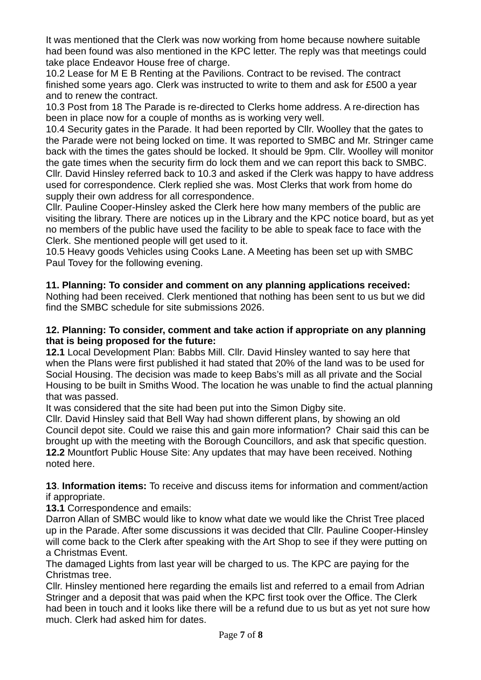It was mentioned that the Clerk was now working from home because nowhere suitable had been found was also mentioned in the KPC letter. The reply was that meetings could take place Endeavor House free of charge.

10.2 Lease for M E B Renting at the Pavilions. Contract to be revised. The contract finished some years ago. Clerk was instructed to write to them and ask for £500 a year and to renew the contract.

10.3 Post from 18 The Parade is re-directed to Clerks home address. A re-direction has been in place now for a couple of months as is working very well.

10.4 Security gates in the Parade. It had been reported by Cllr. Woolley that the gates to the Parade were not being locked on time. It was reported to SMBC and Mr. Stringer came back with the times the gates should be locked. It should be 9pm. Cllr. Woolley will monitor the gate times when the security firm do lock them and we can report this back to SMBC. Cllr. David Hinsley referred back to 10.3 and asked if the Clerk was happy to have address used for correspondence. Clerk replied she was. Most Clerks that work from home do supply their own address for all correspondence.

Cllr. Pauline Cooper-Hinsley asked the Clerk here how many members of the public are visiting the library. There are notices up in the Library and the KPC notice board, but as yet no members of the public have used the facility to be able to speak face to face with the Clerk. She mentioned people will get used to it.

10.5 Heavy goods Vehicles using Cooks Lane. A Meeting has been set up with SMBC Paul Tovey for the following evening.

### **11. Planning: To consider and comment on any planning applications received:**

Nothing had been received. Clerk mentioned that nothing has been sent to us but we did find the SMBC schedule for site submissions 2026.

#### **12. Planning: To consider, comment and take action if appropriate on any planning that is being proposed for the future:**

**12.1** Local Development Plan: Babbs Mill. Cllr. David Hinsley wanted to say here that when the Plans were first published it had stated that 20% of the land was to be used for Social Housing. The decision was made to keep Babs's mill as all private and the Social Housing to be built in Smiths Wood. The location he was unable to find the actual planning that was passed.

It was considered that the site had been put into the Simon Digby site.

Cllr. David Hinsley said that Bell Way had shown different plans, by showing an old Council depot site. Could we raise this and gain more information? Chair said this can be brought up with the meeting with the Borough Councillors, and ask that specific question. **12.2** Mountfort Public House Site: Any updates that may have been received. Nothing noted here.

**13**. **Information items:** To receive and discuss items for information and comment/action if appropriate.

**13.1** Correspondence and emails:

Darron Allan of SMBC would like to know what date we would like the Christ Tree placed up in the Parade. After some discussions it was decided that Cllr. Pauline Cooper-Hinsley will come back to the Clerk after speaking with the Art Shop to see if they were putting on a Christmas Event.

The damaged Lights from last year will be charged to us. The KPC are paying for the Christmas tree.

Cllr. Hinsley mentioned here regarding the emails list and referred to a email from Adrian Stringer and a deposit that was paid when the KPC first took over the Office. The Clerk had been in touch and it looks like there will be a refund due to us but as yet not sure how much. Clerk had asked him for dates.